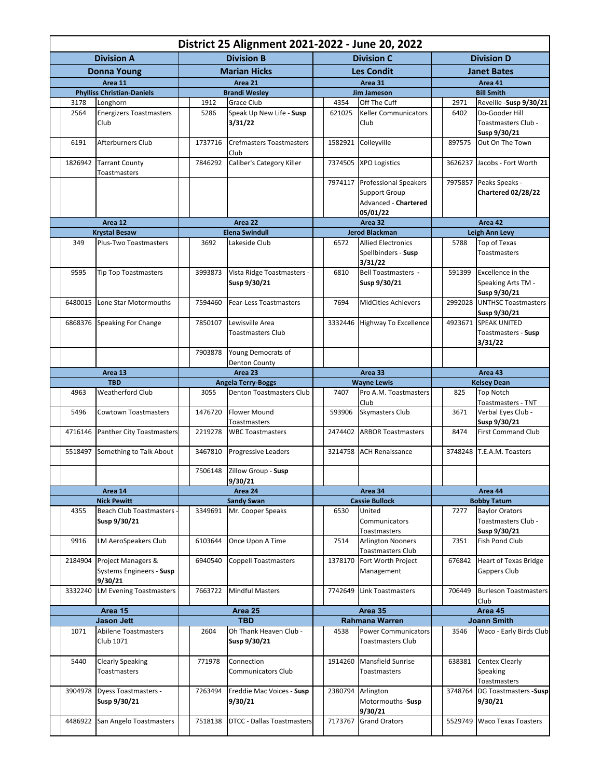| District 25 Alignment 2021-2022 - June 20, 2022 |                                         |                       |                     |                                         |                       |         |                                                      |                    |                    |                              |  |
|-------------------------------------------------|-----------------------------------------|-----------------------|---------------------|-----------------------------------------|-----------------------|---------|------------------------------------------------------|--------------------|--------------------|------------------------------|--|
| <b>Division A</b>                               |                                         |                       | <b>Division B</b>   |                                         |                       |         | <b>Division C</b>                                    | <b>Division D</b>  |                    |                              |  |
| <b>Donna Young</b>                              |                                         |                       | <b>Marian Hicks</b> |                                         |                       |         | <b>Les Condit</b>                                    |                    | <b>Janet Bates</b> |                              |  |
| Area 11                                         |                                         | Area 21               |                     |                                         | Area 31               |         |                                                      | Area 41            |                    |                              |  |
|                                                 | <b>Phylliss Christian-Daniels</b>       |                       |                     | <b>Brandi Wesley</b>                    |                       |         | <b>Jim Jameson</b>                                   |                    |                    | <b>Bill Smith</b>            |  |
| 3178                                            | Longhorn                                |                       | 1912                | Grace Club                              |                       | 4354    | Off The Cuff                                         |                    | 2971               | Reveille -Susp 9/30/21       |  |
| 2564                                            | <b>Energizers Toastmasters</b>          |                       | 5286                | Speak Up New Life - Susp                |                       | 621025  | <b>Keller Communicators</b>                          |                    | 6402               | Do-Gooder Hill               |  |
|                                                 | Club                                    |                       |                     | 3/31/22                                 |                       |         | Club                                                 |                    |                    | Toastmasters Club -          |  |
|                                                 |                                         |                       |                     |                                         |                       |         |                                                      |                    |                    | Susp 9/30/21                 |  |
| 6191                                            | Afterburners Club                       |                       | 1737716             | <b>Crefmasters Toastmasters</b>         |                       | 1582921 | Colleyville                                          |                    | 897575             | Out On The Town              |  |
|                                                 |                                         |                       |                     | Club                                    |                       |         |                                                      |                    |                    |                              |  |
| 1826942                                         | <b>Tarrant County</b>                   |                       | 7846292             | Caliber's Category Killer               |                       | 7374505 | <b>XPO Logistics</b>                                 |                    | 3626237            | Jacobs - Fort Worth          |  |
|                                                 | Toastmasters                            |                       |                     |                                         |                       |         |                                                      |                    |                    |                              |  |
|                                                 |                                         |                       |                     |                                         |                       | 7974117 | <b>Professional Speakers</b>                         |                    | 7975857            | Peaks Speaks -               |  |
|                                                 |                                         |                       |                     |                                         |                       |         | <b>Support Group</b><br>Advanced - Chartered         |                    |                    | <b>Chartered 02/28/22</b>    |  |
|                                                 |                                         |                       |                     |                                         |                       |         | 05/01/22                                             |                    |                    |                              |  |
|                                                 | Area 12                                 |                       | Area 22             |                                         |                       | Area 32 |                                                      |                    | Area 42            |                              |  |
|                                                 | <b>Krystal Besaw</b>                    | <b>Elena Swindull</b> |                     |                                         | <b>Jerod Blackman</b> |         |                                                      |                    | Leigh Ann Levy     |                              |  |
| 349                                             | Plus-Two Toastmasters                   |                       | 3692                | Lakeside Club                           |                       | 6572    | <b>Allied Electronics</b>                            |                    | 5788               | Top of Texas                 |  |
|                                                 |                                         |                       |                     |                                         |                       |         | Spellbinders - Susp                                  |                    |                    | Toastmasters                 |  |
|                                                 |                                         |                       |                     |                                         |                       |         | 3/31/22                                              |                    |                    |                              |  |
| 9595                                            | <b>Tip Top Toastmasters</b>             |                       | 3993873             | Vista Ridge Toastmasters -              |                       | 6810    | <b>Bell Toastmasters -</b>                           |                    | 591399             | Excellence in the            |  |
|                                                 |                                         |                       |                     | Susp 9/30/21                            |                       |         | Susp 9/30/21                                         |                    |                    | Speaking Arts TM -           |  |
|                                                 |                                         |                       |                     |                                         |                       |         |                                                      |                    |                    | Susp 9/30/21                 |  |
| 6480015                                         | Lone Star Motormouths                   |                       | 7594460             | <b>Fear-Less Toastmasters</b>           |                       | 7694    | <b>MidCities Achievers</b>                           |                    | 2992028            | <b>UNTHSC Toastmasters</b>   |  |
|                                                 |                                         |                       |                     |                                         |                       |         |                                                      |                    |                    | Susp 9/30/21                 |  |
|                                                 | 6868376 Speaking For Change             |                       | 7850107             | Lewisville Area                         |                       | 3332446 | Highway To Excellence                                |                    |                    | 4923671 SPEAK UNITED         |  |
|                                                 |                                         |                       |                     | Toastmasters Club                       |                       |         |                                                      |                    |                    | Toastmasters - Susp          |  |
|                                                 |                                         |                       | 7903878             | Young Democrats of                      |                       |         |                                                      |                    |                    | 3/31/22                      |  |
|                                                 |                                         |                       |                     | Denton County                           |                       |         |                                                      |                    |                    |                              |  |
| Area 13                                         |                                         | Area 23               |                     |                                         | Area 33               |         |                                                      |                    | Area 43            |                              |  |
|                                                 | <b>TBD</b>                              |                       |                     | <b>Angela Terry-Boggs</b>               |                       |         | <b>Wayne Lewis</b>                                   |                    |                    | <b>Kelsey Dean</b>           |  |
| 4963                                            | Weatherford Club                        |                       | 3055                | Denton Toastmasters Club                |                       | 7407    | Pro A.M. Toastmasters                                |                    | 825                | <b>Top Notch</b>             |  |
|                                                 |                                         |                       |                     |                                         |                       |         | Club                                                 |                    |                    | Toastmasters - TNT           |  |
| 5496                                            | <b>Cowtown Toastmasters</b>             |                       | 1476720             | <b>Flower Mound</b>                     |                       | 593906  | <b>Skymasters Club</b>                               |                    | 3671               | Verbal Eyes Club -           |  |
|                                                 |                                         |                       |                     | Toastmasters                            |                       |         |                                                      |                    |                    | Susp 9/30/21                 |  |
| 4716146                                         | <b>Panther City Toastmasters</b>        |                       | 2219278             | <b>WBC Toastmasters</b>                 |                       | 2474402 | <b>ARBOR Toastmasters</b>                            |                    | 8474               | <b>First Command Club</b>    |  |
| 5518497                                         | Something to Talk About                 |                       | 3467810             | Progressive Leaders                     |                       | 3214758 | <b>ACH Renaissance</b>                               |                    |                    | 3748248 T.E.A.M. Toasters    |  |
|                                                 |                                         |                       |                     |                                         |                       |         |                                                      |                    |                    |                              |  |
|                                                 |                                         |                       | 7506148             | Zillow Group - Susp                     |                       |         |                                                      |                    |                    |                              |  |
|                                                 |                                         |                       |                     | 9/30/21                                 |                       |         |                                                      |                    |                    |                              |  |
| Area 14                                         |                                         | Area 24               |                     |                                         |                       |         | Area 34                                              |                    | Area 44            |                              |  |
|                                                 | <b>Nick Pewitt</b>                      |                       |                     | <b>Sandy Swan</b>                       |                       |         | <b>Cassie Bullock</b>                                |                    |                    | <b>Bobby Tatum</b>           |  |
| 4355                                            | <b>Beach Club Toastmasters</b>          |                       | 3349691             | Mr. Cooper Speaks                       |                       | 6530    | United                                               |                    | 7277               | <b>Baylor Orators</b>        |  |
|                                                 | Susp 9/30/21                            |                       |                     |                                         |                       |         | Communicators                                        |                    |                    | Toastmasters Club -          |  |
|                                                 |                                         |                       |                     |                                         |                       |         | Toastmasters                                         |                    |                    | Susp 9/30/21                 |  |
| 9916                                            | <b>LM AeroSpeakers Club</b>             |                       | 6103644             | Once Upon A Time                        |                       | 7514    | <b>Arlington Nooners</b><br><b>Toastmasters Club</b> |                    | 7351               | Fish Pond Club               |  |
| 2184904                                         | Project Managers &                      |                       | 6940540             | <b>Coppell Toastmasters</b>             |                       | 1378170 | Fort Worth Project                                   |                    | 676842             | <b>Heart of Texas Bridge</b> |  |
|                                                 | Systems Engineers - Susp                |                       |                     |                                         |                       |         | Management                                           |                    |                    | Gappers Club                 |  |
|                                                 | 9/30/21                                 |                       |                     |                                         |                       |         |                                                      |                    |                    |                              |  |
| 3332240                                         | <b>LM Evening Toastmasters</b>          |                       | 7663722             | <b>Mindful Masters</b>                  |                       | 7742649 | Link Toastmasters                                    |                    | 706449             | <b>Burleson Toastmasters</b> |  |
|                                                 |                                         |                       |                     |                                         |                       |         |                                                      |                    |                    | Club                         |  |
| Area 15                                         |                                         | Area 25               |                     |                                         | Area 35               |         |                                                      | Area 45            |                    |                              |  |
| <b>Jason Jett</b>                               |                                         | <b>TBD</b>            |                     |                                         | <b>Rahmana Warren</b> |         |                                                      | <b>Joann Smith</b> |                    |                              |  |
| 1071                                            | Abilene Toastmasters                    |                       | 2604                | Oh Thank Heaven Club -                  |                       | 4538    | <b>Power Communicators</b>                           |                    | 3546               | Waco - Early Birds Club      |  |
|                                                 | Club 1071                               |                       |                     | Susp 9/30/21                            |                       |         | <b>Toastmasters Club</b>                             |                    |                    |                              |  |
|                                                 |                                         |                       |                     |                                         |                       |         |                                                      |                    |                    |                              |  |
| 5440                                            | <b>Clearly Speaking</b><br>Toastmasters |                       | 771978              | Connection<br><b>Communicators Club</b> |                       | 1914260 | <b>Mansfield Sunrise</b><br>Toastmasters             |                    | 638381             | Centex Clearly<br>Speaking   |  |
|                                                 |                                         |                       |                     |                                         |                       |         |                                                      |                    |                    | Toastmasters                 |  |
| 3904978                                         | <b>Dyess Toastmasters -</b>             |                       | 7263494             | Freddie Mac Voices - Susp               |                       | 2380794 | Arlington                                            |                    | 3748764            | DG Toastmasters -Susp        |  |
|                                                 | Susp 9/30/21                            |                       |                     | 9/30/21                                 |                       |         | Motormouths -Susp                                    |                    |                    | 9/30/21                      |  |
|                                                 |                                         |                       |                     |                                         |                       |         | 9/30/21                                              |                    |                    |                              |  |
| 4486922                                         | San Angelo Toastmasters                 |                       | 7518138             | <b>DTCC - Dallas Toastmasters</b>       |                       | 7173767 | <b>Grand Orators</b>                                 |                    | 5529749            | <b>Waco Texas Toasters</b>   |  |
|                                                 |                                         |                       |                     |                                         |                       |         |                                                      |                    |                    |                              |  |